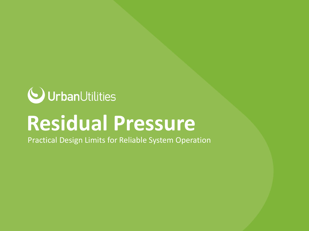

# **Residual Pressure**

Practical Design Limits for Reliable System Operation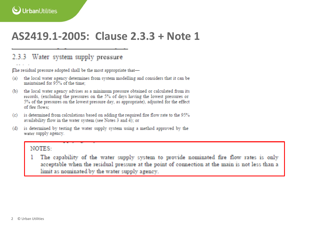### AS2419.1-2005: Clause 2.3.3 + Note 1

#### 2.3.3 Water system supply pressure

The residual pressure adopted shall be the most appropriate that-

- the local water agency determines from system modelling and considers that it can be  $(a)$ maintained for 95% of the time:
- the local water agency advises as a minimum pressure obtained or calculated from its  $(b)$ records. (excluding the pressures on the 5% of days having the lowest pressures or 5% of the pressures on the lowest pressure day, as appropriate), adjusted for the effect of fire flows:
- (c) is determined from calculations based on adding the required fire flow rate to the 95% availability flow in the water system (see Notes 3 and 4); or
- is determined by testing the water supply system using a method approved by the (d) water supply agency.

#### NOTES-

The capability of the water supply system to provide nominated fire flow rates is only acceptable when the residual pressure at the point of connection at the main is not less than a limit as nominated by the water supply agency.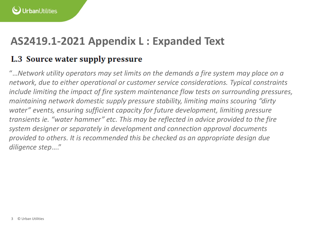### **AS2419.1-2021 Appendix L : Expanded Text**

#### L.3 Source water supply pressure

"…*Network utility operators may set limits on the demands a fire system may place on a network, due to either operational or customer service considerations. Typical constraints include limiting the impact of fire system maintenance flow tests on surrounding pressures, maintaining network domestic supply pressure stability, limiting mains scouring "dirty water" events, ensuring sufficient capacity for future development, limiting pressure transients ie. "water hammer" etc. This may be reflected in advice provided to the fire system designer or separately in development and connection approval documents provided to others. It is recommended this be checked as an appropriate design due diligence step*…."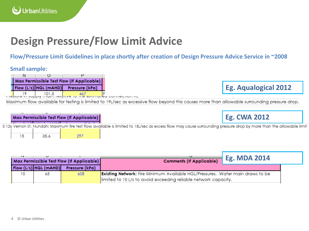## **Design Pressure/Flow Limit Advice**

**Flow/Pressure Limit Guidelines in place shortly after creation of Design Pressure Advice Service in ~2008**

#### **Small sample:**

| Max Permissible Test Flow (If Applicable) |  |                                      |  |  |  |
|-------------------------------------------|--|--------------------------------------|--|--|--|
|                                           |  | Flow (L/s) HGL (mAHD) Pressure (kPa) |  |  |  |
|                                           |  |                                      |  |  |  |

Thessure in supply multiple director ine estimuled connection it.

Maximum flow available for testing is limited to 19L/sec as excessive flow beyond this causes more than allowable surrounding pressure drop.

**Eg. Aqualogical 2012**

|    |      | Max Permissible Test Flow (If Applicable) | <b>Eg. CWA 2012</b>                                                                                                                                                 |  |
|----|------|-------------------------------------------|---------------------------------------------------------------------------------------------------------------------------------------------------------------------|--|
|    |      |                                           | 3 126 Vernon St, Nundah: Maximum fire test flow available is limited to 15L/sec as excess flow may cause surrounding pressure drop by more than the allowable limit |  |
| 15 | 35.6 |                                           |                                                                                                                                                                     |  |

| Max Permissible Test Flow (If Applicable) |                         |                | <b>Eg. MDA 2014</b><br><b>Comments (If Applicable)</b>                                |  |
|-------------------------------------------|-------------------------|----------------|---------------------------------------------------------------------------------------|--|
|                                           | $Flow (L/s)$ HGL (mAHD) | Pressure (kPa) |                                                                                       |  |
| 10                                        | 65                      | 608            | <b>Existing Network:</b> Fire Minimum Available HGL/Pressures. Water main draws to be |  |
|                                           |                         |                | limited to 10 L/s to avoid exceeding reliable network capacity.                       |  |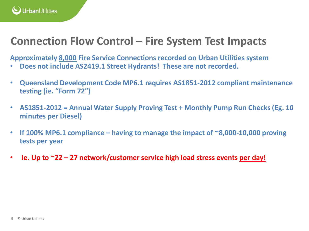

#### **Connection Flow Control – Fire System Test Impacts**

**Approximately 8,000 Fire Service Connections recorded on Urban Utilities system**

- **Does not include AS2419.1 Street Hydrants! These are not recorded.**
- **Queensland Development Code MP6.1 requires AS1851-2012 compliant maintenance testing (ie. "Form 72")**
- **AS1851-2012 = Annual Water Supply Proving Test + Monthly Pump Run Checks (Eg. 10 minutes per Diesel)**
- **If 100% MP6.1 compliance – having to manage the impact of ~8,000-10,000 proving tests per year**
- **Ie. Up to ~22 – 27 network/customer service high load stress events per day!**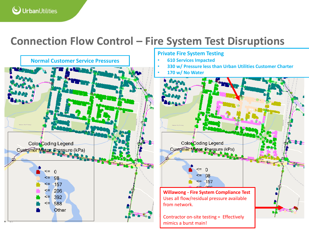

### **Connection Flow Control – Fire System Test Disruptions**



#### **Private Fire System Testing**

- **610 Services Impacted**
- **330 w/ Pressure less than Urban Utilities Customer Charter**
- **170 w/ No Water**



Contractor on-site testing = Effectively mimics a burst main!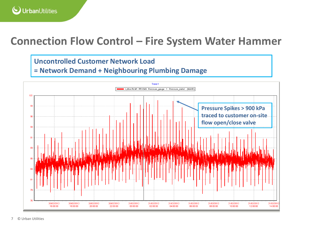

#### **Connection Flow Control – Fire System Water Hammer**

#### **Uncontrolled Customer Network Load**

**= Network Demand + Neighbouring Plumbing Damage**

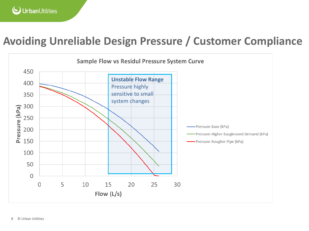### **Avoiding Unreliable Design Pressure / Customer Compliance**

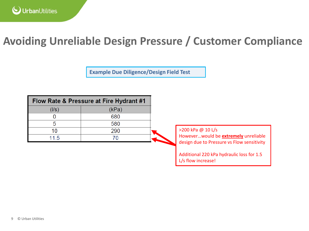### **Avoiding Unreliable Design Pressure / Customer Compliance**

**Example Due Diligence/Design Field Test**

| Flow Rate & Pressure at Fire Hydrant #1 |       |  |  |
|-----------------------------------------|-------|--|--|
| $($ l/s $)$                             | (kPa) |  |  |
|                                         | 680   |  |  |
|                                         | 580   |  |  |
| 10                                      | 290   |  |  |
| 11.5                                    |       |  |  |

>200 kPa @ 10 L/s

However…would be **extremely** unreliable design due to Pressure vs Flow sensitivity

Additional 220 kPa hydraulic loss for 1.5 L/s flow increase!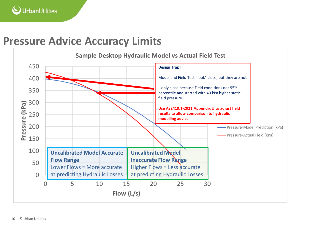### **Pressure Advice Accuracy Limits**